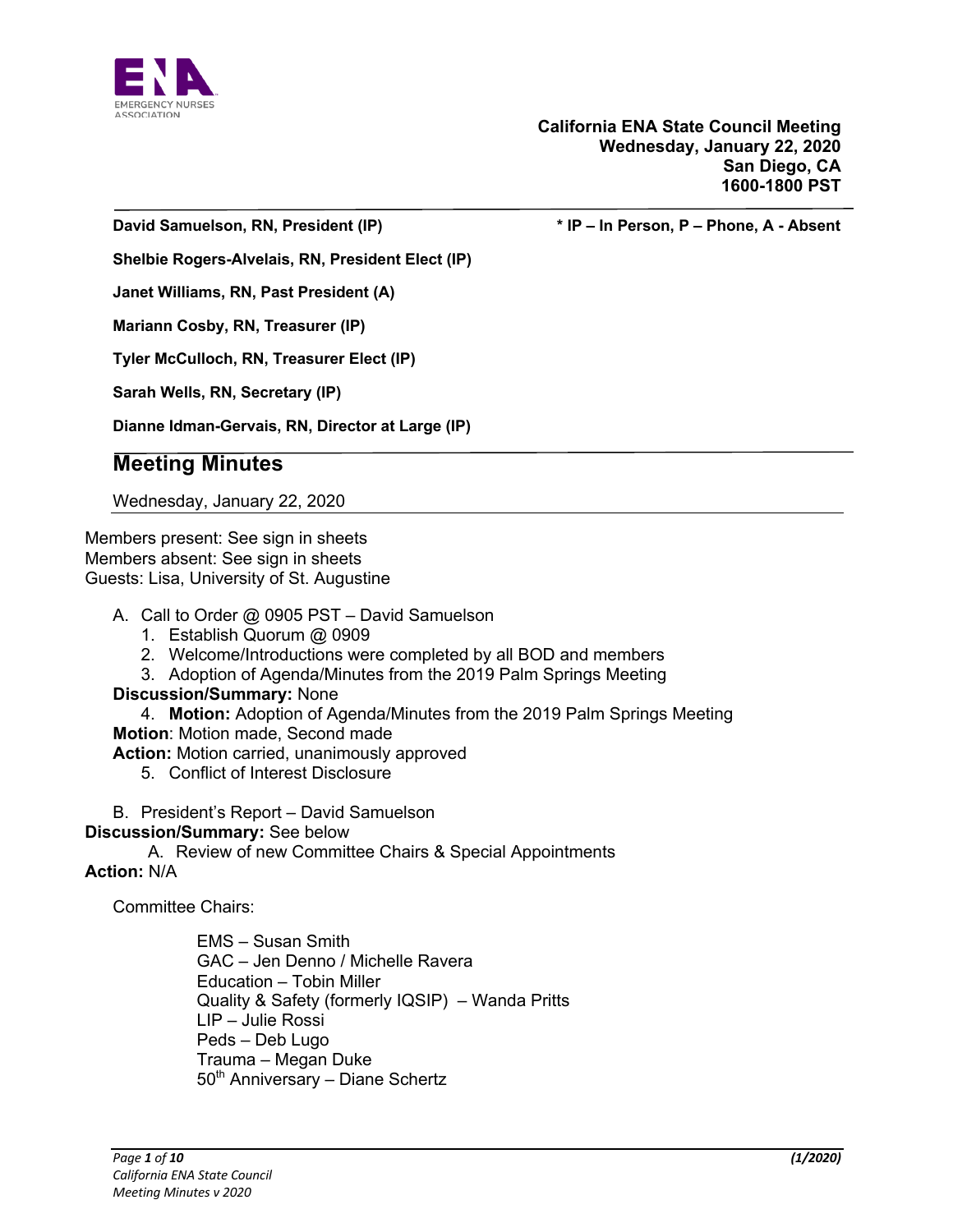

**David Samuelson, RN, President (IP) \* IP – In Person, P – Phone, A - Absent**

**Shelbie Rogers-Alvelais, RN, President Elect (IP)**

**Janet Williams, RN, Past President (A)**

**Mariann Cosby, RN, Treasurer (IP)**

**Tyler McCulloch, RN, Treasurer Elect (IP)**

**Sarah Wells, RN, Secretary (IP)**

**Dianne Idman-Gervais, RN, Director at Large (IP)**

# **Meeting Minutes**

Wednesday, January 22, 2020

Members present: See sign in sheets Members absent: See sign in sheets Guests: Lisa, University of St. Augustine

- A. Call to Order @ 0905 PST David Samuelson
	- 1. Establish Quorum @ 0909
	- 2. Welcome/Introductions were completed by all BOD and members
	- 3. Adoption of Agenda/Minutes from the 2019 Palm Springs Meeting

### **Discussion/Summary:** None

4. **Motion:** Adoption of Agenda/Minutes from the 2019 Palm Springs Meeting

**Motion**: Motion made, Second made

**Action:** Motion carried, unanimously approved

- 5. Conflict of Interest Disclosure
- B. President's Report David Samuelson
- **Discussion/Summary:** See below

A. Review of new Committee Chairs & Special Appointments

#### **Action:** N/A

Committee Chairs:

EMS – Susan Smith GAC – Jen Denno / Michelle Ravera Education – Tobin Miller Quality & Safety (formerly IQSIP) – Wanda Pritts LIP – Julie Rossi Peds – Deb Lugo Trauma – Megan Duke 50<sup>th</sup> Anniversary - Diane Schertz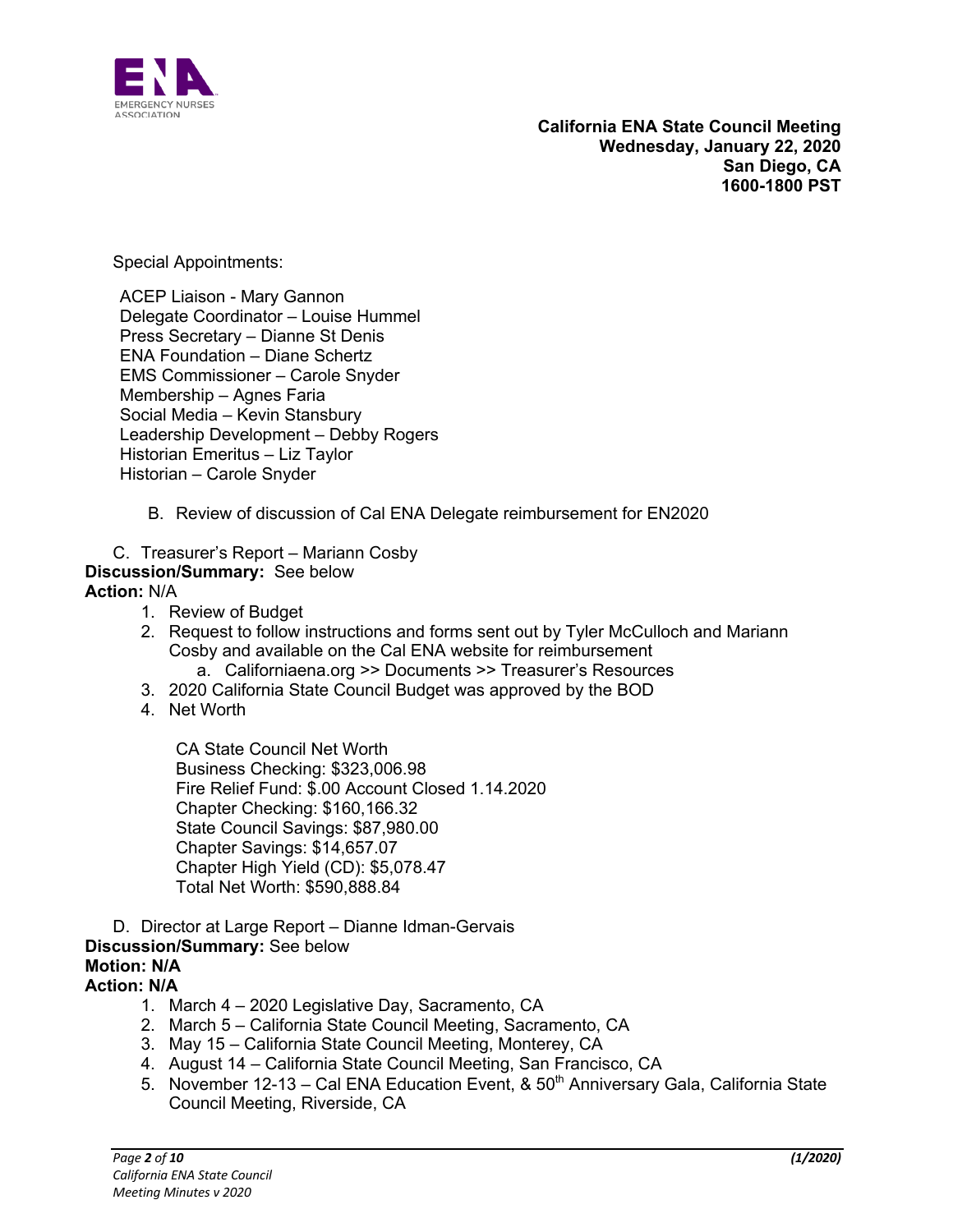

Special Appointments:

ACEP Liaison - Mary Gannon Delegate Coordinator – Louise Hummel Press Secretary – Dianne St Denis ENA Foundation – Diane Schertz EMS Commissioner – Carole Snyder Membership – Agnes Faria Social Media – Kevin Stansbury Leadership Development – Debby Rogers Historian Emeritus – Liz Taylor Historian – Carole Snyder

- B. Review of discussion of Cal ENA Delegate reimbursement for EN2020
- C. Treasurer's Report Mariann Cosby **Discussion/Summary:** See below **Action:** N/A
	- 1. Review of Budget
	- 2. Request to follow instructions and forms sent out by Tyler McCulloch and Mariann Cosby and available on the Cal ENA website for reimbursement a. Californiaena.org >> Documents >> Treasurer's Resources
	- 3. 2020 California State Council Budget was approved by the BOD
	- 4. Net Worth

CA State Council Net Worth Business Checking: \$323,006.98 Fire Relief Fund: \$.00 Account Closed 1.14.2020 Chapter Checking: \$160,166.32 State Council Savings: \$87,980.00 Chapter Savings: \$14,657.07 Chapter High Yield (CD): \$5,078.47 Total Net Worth: \$590,888.84

D. Director at Large Report – Dianne Idman-Gervais

#### **Discussion/Summary:** See below **Motion: N/A**

### **Action: N/A**

- 1. March 4 2020 Legislative Day, Sacramento, CA
- 2. March 5 California State Council Meeting, Sacramento, CA
- 3. May 15 California State Council Meeting, Monterey, CA
- 4. August 14 California State Council Meeting, San Francisco, CA
- 5. November 12-13 Cal ENA Education Event, & 50<sup>th</sup> Anniversary Gala, California State Council Meeting, Riverside, CA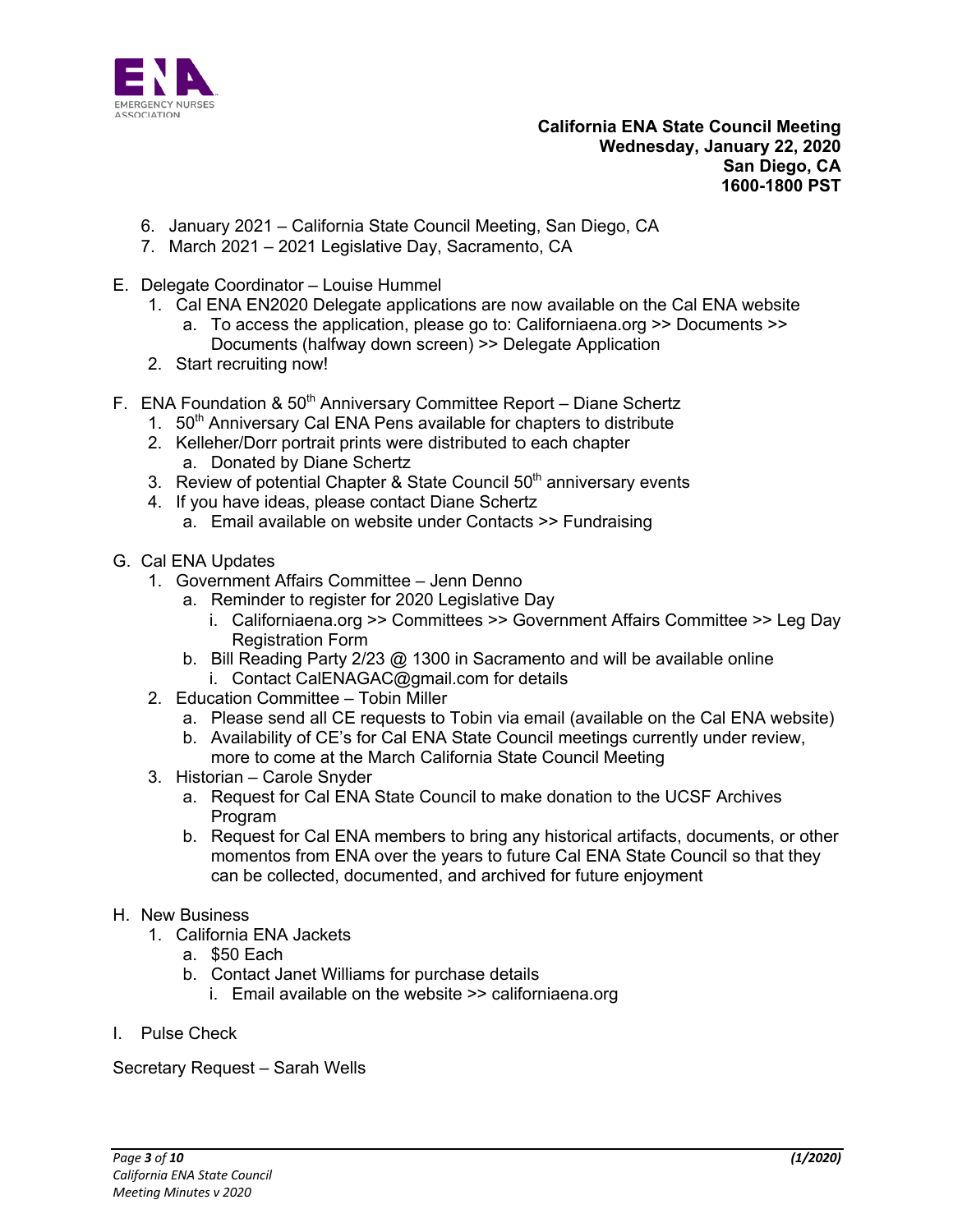

- 6. January 2021 California State Council Meeting, San Diego, CA
- 7. March 2021 2021 Legislative Day, Sacramento, CA
- E. Delegate Coordinator Louise Hummel
	- 1. Cal ENA EN2020 Delegate applications are now available on the Cal ENA website a. To access the application, please go to: Californiaena.org >> Documents >> Documents (halfway down screen) >> Delegate Application
	- 2. Start recruiting now!
- F. ENA Foundation & 50<sup>th</sup> Anniversary Committee Report Diane Schertz
	- 1. 50<sup>th</sup> Anniversary Cal ENA Pens available for chapters to distribute
	- 2. Kelleher/Dorr portrait prints were distributed to each chapter a. Donated by Diane Schertz
	- 3. Review of potential Chapter & State Council 50<sup>th</sup> anniversary events
	- 4. If you have ideas, please contact Diane Schertz
		- a. Email available on website under Contacts >> Fundraising
- G. Cal ENA Updates
	- 1. Government Affairs Committee Jenn Denno
		- a. Reminder to register for 2020 Legislative Day
			- i. Californiaena.org >> Committees >> Government Affairs Committee >> Leg Day Registration Form
		- b. Bill Reading Party 2/23 @ 1300 in Sacramento and will be available online
		- i. Contact CalENAGAC@gmail.com for details
	- 2. Education Committee Tobin Miller
		- a. Please send all CE requests to Tobin via email (available on the Cal ENA website)
		- b. Availability of CE's for Cal ENA State Council meetings currently under review, more to come at the March California State Council Meeting
	- 3. Historian Carole Snyder
		- a. Request for Cal ENA State Council to make donation to the UCSF Archives Program
		- b. Request for Cal ENA members to bring any historical artifacts, documents, or other momentos from ENA over the years to future Cal ENA State Council so that they can be collected, documented, and archived for future enjoyment

#### H. New Business

- 1. California ENA Jackets
	- a. \$50 Each
	- b. Contact Janet Williams for purchase details
		- i. Email available on the website >> californiaena.org
- I. Pulse Check

Secretary Request – Sarah Wells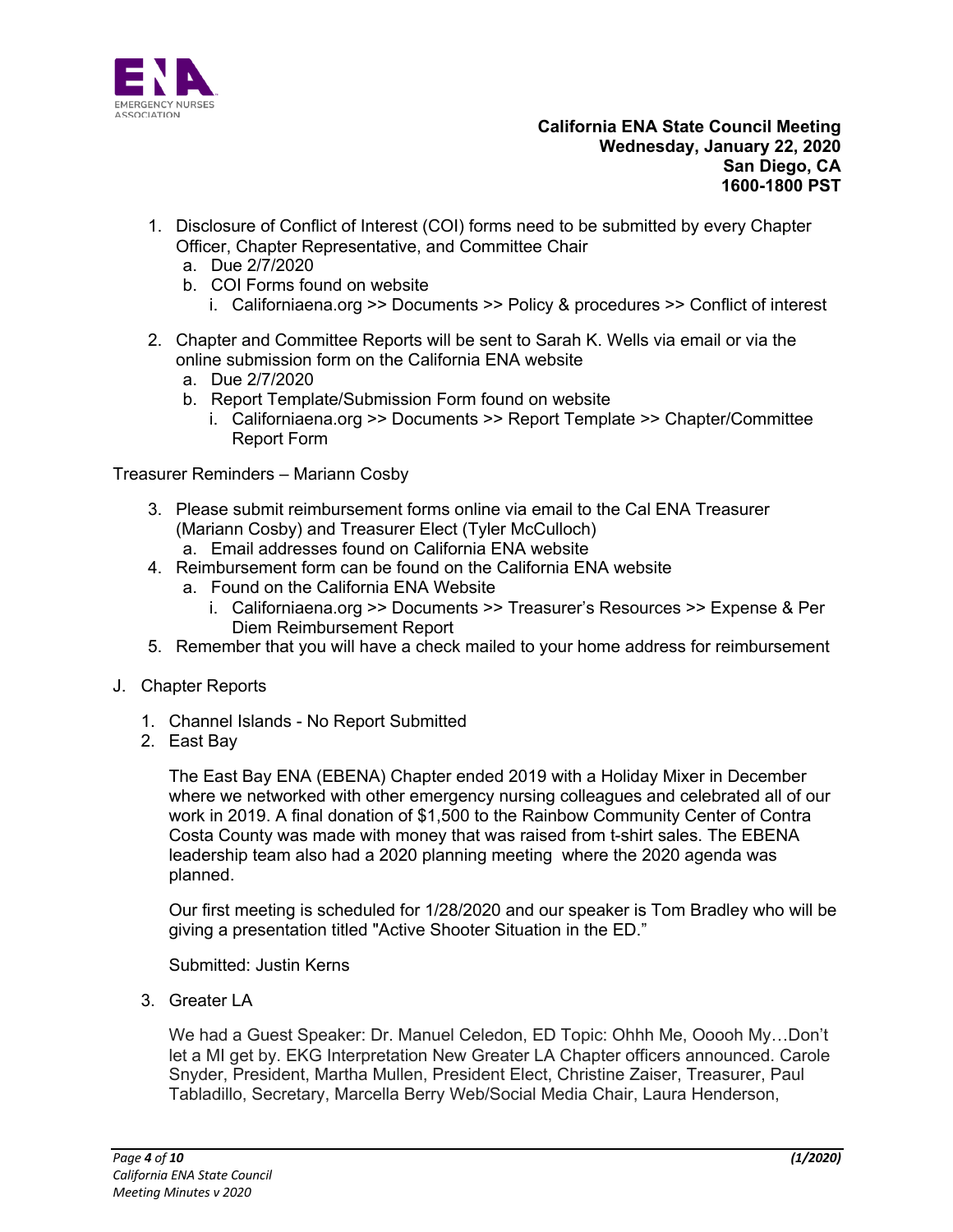

- 1. Disclosure of Conflict of Interest (COI) forms need to be submitted by every Chapter Officer, Chapter Representative, and Committee Chair
	- a. Due 2/7/2020
	- b. COI Forms found on website
		- i. Californiaena.org >> Documents >> Policy & procedures >> Conflict of interest
- 2. Chapter and Committee Reports will be sent to Sarah K. Wells via email or via the online submission form on the California ENA website
	- a. Due 2/7/2020
	- b. Report Template/Submission Form found on website
		- i. Californiaena.org >> Documents >> Report Template >> Chapter/Committee Report Form

Treasurer Reminders – Mariann Cosby

- 3. Please submit reimbursement forms online via email to the Cal ENA Treasurer (Mariann Cosby) and Treasurer Elect (Tyler McCulloch)
	- a. Email addresses found on California ENA website
- 4. Reimbursement form can be found on the California ENA website
	- a. Found on the California ENA Website
		- i. Californiaena.org >> Documents >> Treasurer's Resources >> Expense & Per Diem Reimbursement Report
- 5. Remember that you will have a check mailed to your home address for reimbursement
- J. Chapter Reports
	- 1. Channel Islands No Report Submitted
	- 2. East Bay

The East Bay ENA (EBENA) Chapter ended 2019 with a Holiday Mixer in December where we networked with other emergency nursing colleagues and celebrated all of our work in 2019. A final donation of \$1,500 to the Rainbow Community Center of Contra Costa County was made with money that was raised from t-shirt sales. The EBENA leadership team also had a 2020 planning meeting where the 2020 agenda was planned.

Our first meeting is scheduled for 1/28/2020 and our speaker is Tom Bradley who will be giving a presentation titled "Active Shooter Situation in the ED."

Submitted: Justin Kerns

3. Greater LA

We had a Guest Speaker: Dr. Manuel Celedon, ED Topic: Ohhh Me, Ooooh My…Don't let a MI get by. EKG Interpretation New Greater LA Chapter officers announced. Carole Snyder, President, Martha Mullen, President Elect, Christine Zaiser, Treasurer, Paul Tabladillo, Secretary, Marcella Berry Web/Social Media Chair, Laura Henderson,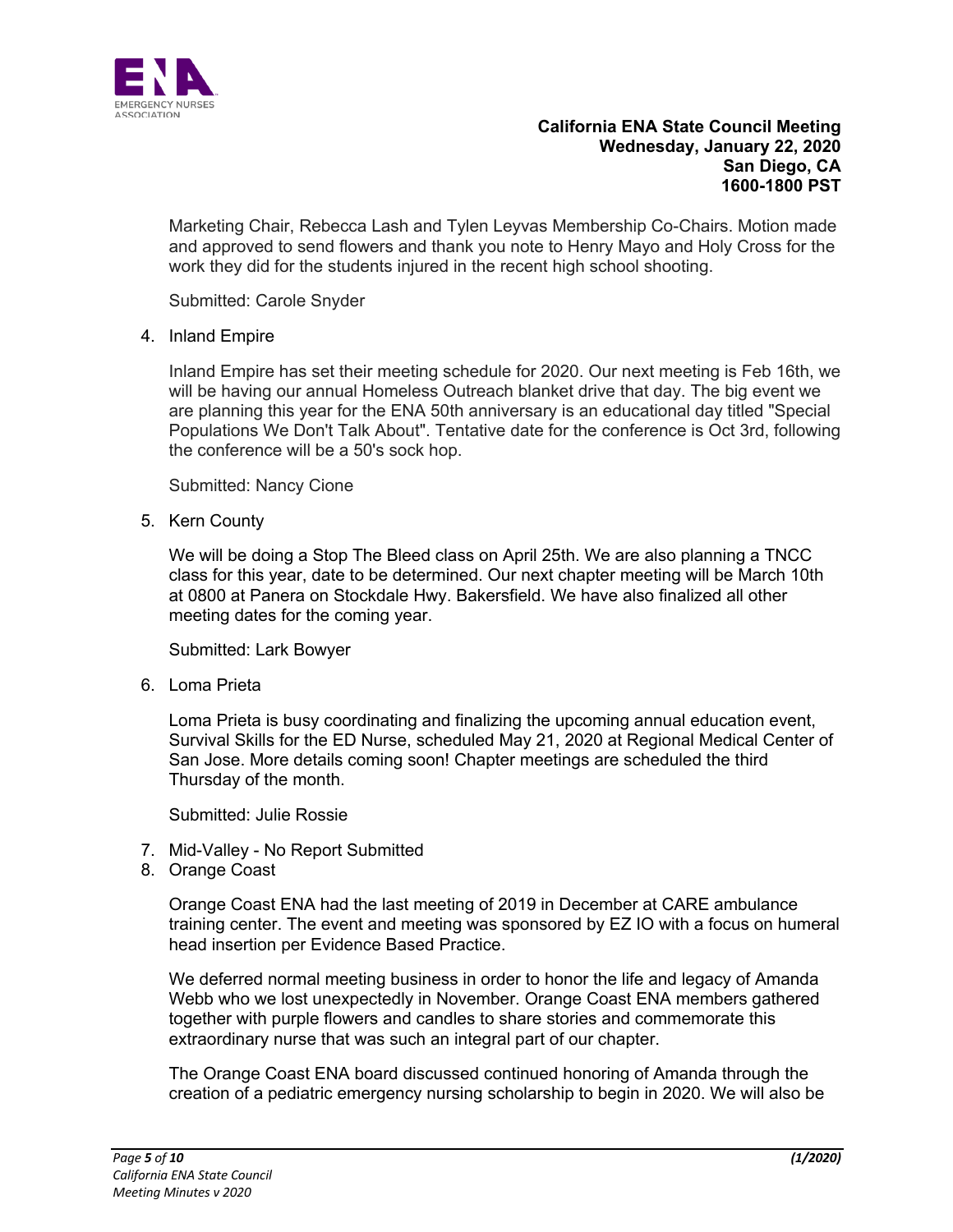

Marketing Chair, Rebecca Lash and Tylen Leyvas Membership Co-Chairs. Motion made and approved to send flowers and thank you note to Henry Mayo and Holy Cross for the work they did for the students injured in the recent high school shooting.

Submitted: Carole Snyder

4. Inland Empire

Inland Empire has set their meeting schedule for 2020. Our next meeting is Feb 16th, we will be having our annual Homeless Outreach blanket drive that day. The big event we are planning this year for the ENA 50th anniversary is an educational day titled "Special Populations We Don't Talk About". Tentative date for the conference is Oct 3rd, following the conference will be a 50's sock hop.

Submitted: Nancy Cione

5. Kern County

We will be doing a Stop The Bleed class on April 25th. We are also planning a TNCC class for this year, date to be determined. Our next chapter meeting will be March 10th at 0800 at Panera on Stockdale Hwy. Bakersfield. We have also finalized all other meeting dates for the coming year.

Submitted: Lark Bowyer

6. Loma Prieta

Loma Prieta is busy coordinating and finalizing the upcoming annual education event, Survival Skills for the ED Nurse, scheduled May 21, 2020 at Regional Medical Center of San Jose. More details coming soon! Chapter meetings are scheduled the third Thursday of the month.

Submitted: Julie Rossie

- 7. Mid-Valley No Report Submitted
- 8. Orange Coast

Orange Coast ENA had the last meeting of 2019 in December at CARE ambulance training center. The event and meeting was sponsored by EZ IO with a focus on humeral head insertion per Evidence Based Practice.

We deferred normal meeting business in order to honor the life and legacy of Amanda Webb who we lost unexpectedly in November. Orange Coast ENA members gathered together with purple flowers and candles to share stories and commemorate this extraordinary nurse that was such an integral part of our chapter.

The Orange Coast ENA board discussed continued honoring of Amanda through the creation of a pediatric emergency nursing scholarship to begin in 2020. We will also be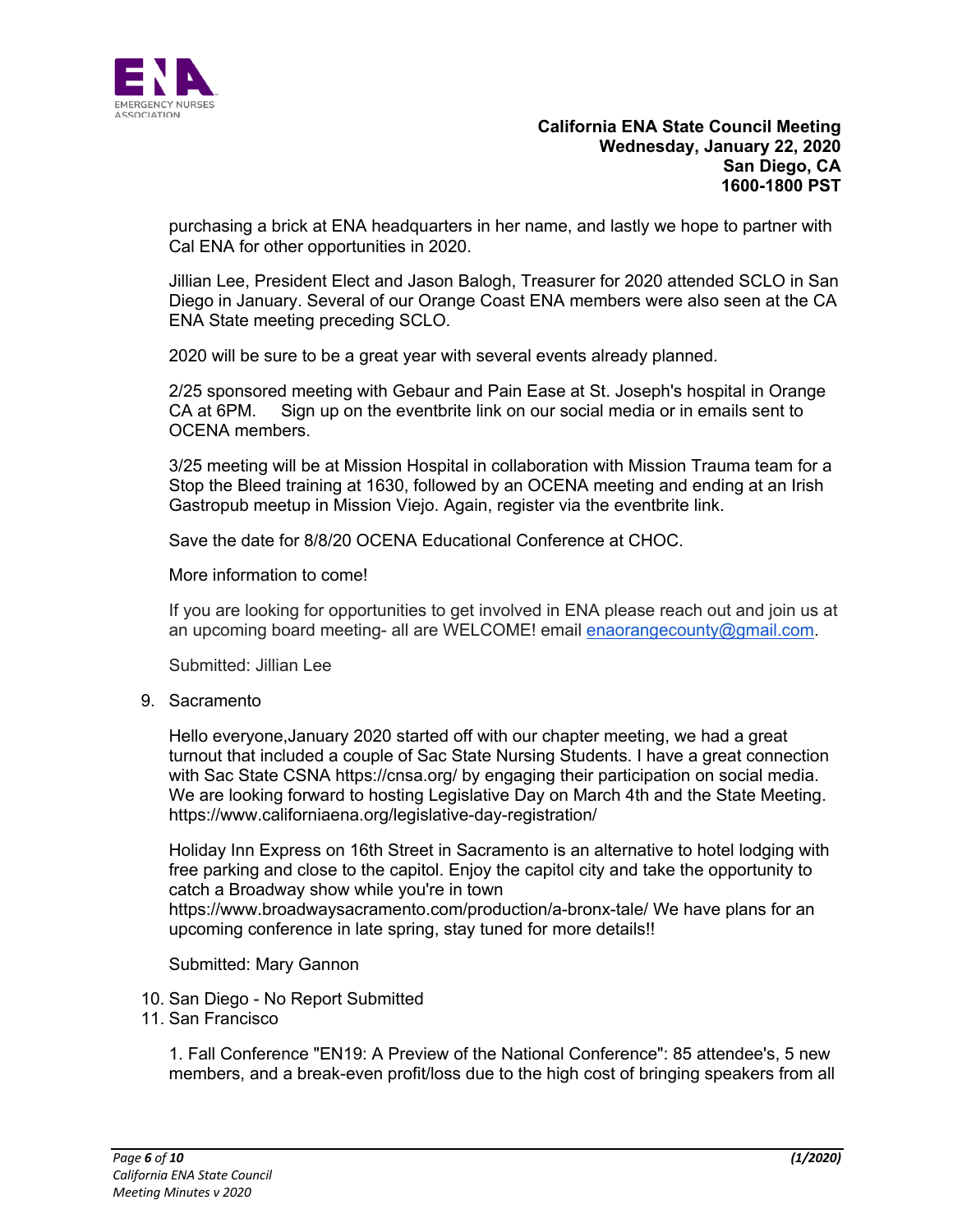

purchasing a brick at ENA headquarters in her name, and lastly we hope to partner with Cal ENA for other opportunities in 2020.

Jillian Lee, President Elect and Jason Balogh, Treasurer for 2020 attended SCLO in San Diego in January. Several of our Orange Coast ENA members were also seen at the CA ENA State meeting preceding SCLO.

2020 will be sure to be a great year with several events already planned.

2/25 sponsored meeting with Gebaur and Pain Ease at St. Joseph's hospital in Orange CA at 6PM. Sign up on the eventbrite link on our social media or in emails sent to OCENA members.

3/25 meeting will be at Mission Hospital in collaboration with Mission Trauma team for a Stop the Bleed training at 1630, followed by an OCENA meeting and ending at an Irish Gastropub meetup in Mission Viejo. Again, register via the eventbrite link.

Save the date for 8/8/20 OCENA Educational Conference at CHOC.

More information to come!

If you are looking for opportunities to get involved in ENA please reach out and join us at an upcoming board meeting- all are WELCOME! email enaorangecounty@gmail.com.

Submitted: Jillian Lee

9. Sacramento

Hello everyone,January 2020 started off with our chapter meeting, we had a great turnout that included a couple of Sac State Nursing Students. I have a great connection with Sac State CSNA https://cnsa.org/ by engaging their participation on social media. We are looking forward to hosting Legislative Day on March 4th and the State Meeting. https://www.californiaena.org/legislative-day-registration/

Holiday Inn Express on 16th Street in Sacramento is an alternative to hotel lodging with free parking and close to the capitol. Enjoy the capitol city and take the opportunity to catch a Broadway show while you're in town https://www.broadwaysacramento.com/production/a-bronx-tale/ We have plans for an upcoming conference in late spring, stay tuned for more details!!

Submitted: Mary Gannon

- 10. San Diego No Report Submitted
- 11. San Francisco

1. Fall Conference "EN19: A Preview of the National Conference": 85 attendee's, 5 new members, and a break-even profit/loss due to the high cost of bringing speakers from all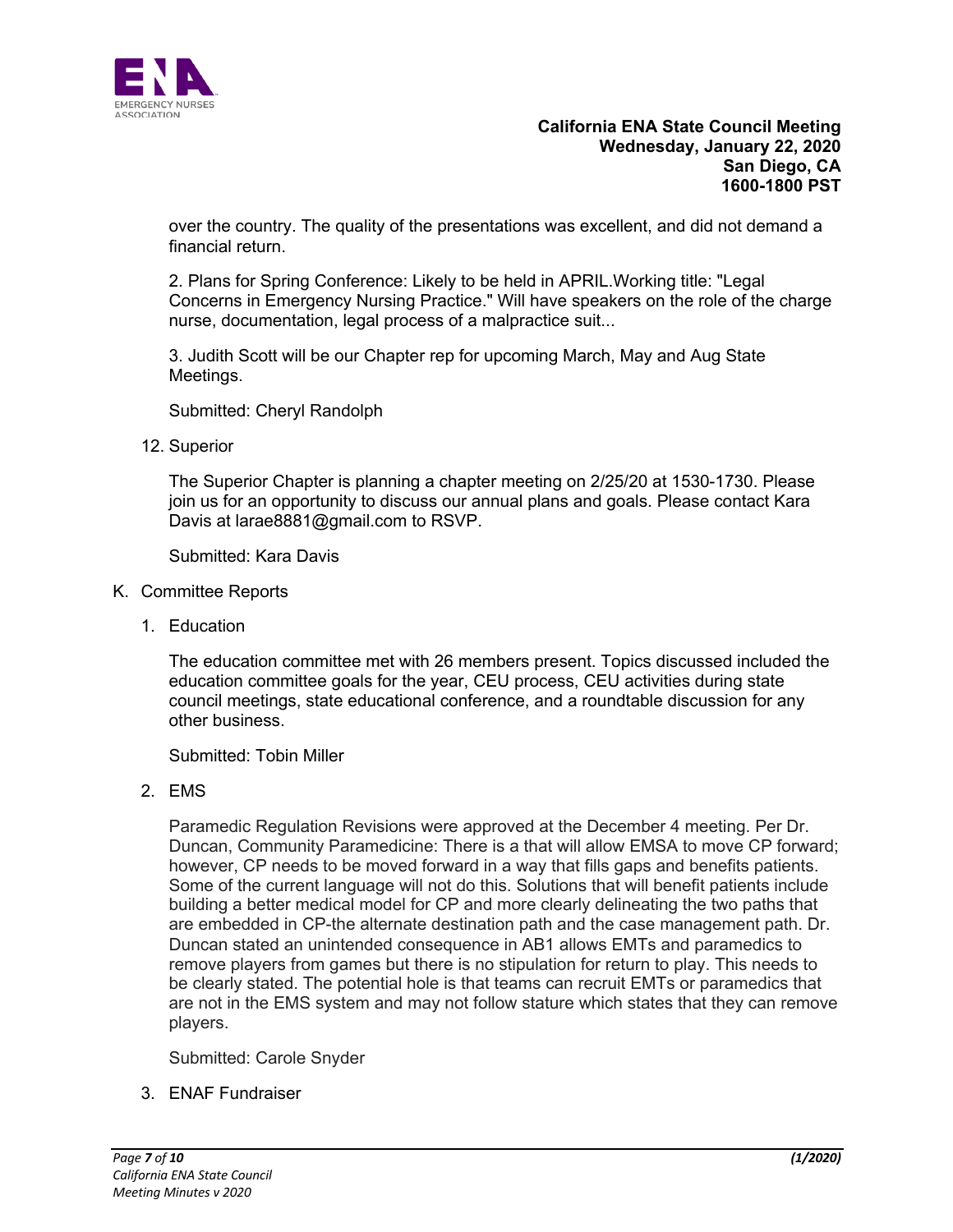

over the country. The quality of the presentations was excellent, and did not demand a financial return.

2. Plans for Spring Conference: Likely to be held in APRIL.Working title: "Legal Concerns in Emergency Nursing Practice." Will have speakers on the role of the charge nurse, documentation, legal process of a malpractice suit...

3. Judith Scott will be our Chapter rep for upcoming March, May and Aug State Meetings.

Submitted: Cheryl Randolph

12. Superior

The Superior Chapter is planning a chapter meeting on 2/25/20 at 1530-1730. Please join us for an opportunity to discuss our annual plans and goals. Please contact Kara Davis at larae8881@gmail.com to RSVP.

Submitted: Kara Davis

- K. Committee Reports
	- 1. Education

The education committee met with 26 members present. Topics discussed included the education committee goals for the year, CEU process, CEU activities during state council meetings, state educational conference, and a roundtable discussion for any other business.

Submitted: Tobin Miller

2. EMS

Paramedic Regulation Revisions were approved at the December 4 meeting. Per Dr. Duncan, Community Paramedicine: There is a that will allow EMSA to move CP forward; however, CP needs to be moved forward in a way that fills gaps and benefits patients. Some of the current language will not do this. Solutions that will benefit patients include building a better medical model for CP and more clearly delineating the two paths that are embedded in CP-the alternate destination path and the case management path. Dr. Duncan stated an unintended consequence in AB1 allows EMTs and paramedics to remove players from games but there is no stipulation for return to play. This needs to be clearly stated. The potential hole is that teams can recruit EMTs or paramedics that are not in the EMS system and may not follow stature which states that they can remove players.

Submitted: Carole Snyder

3. ENAF Fundraiser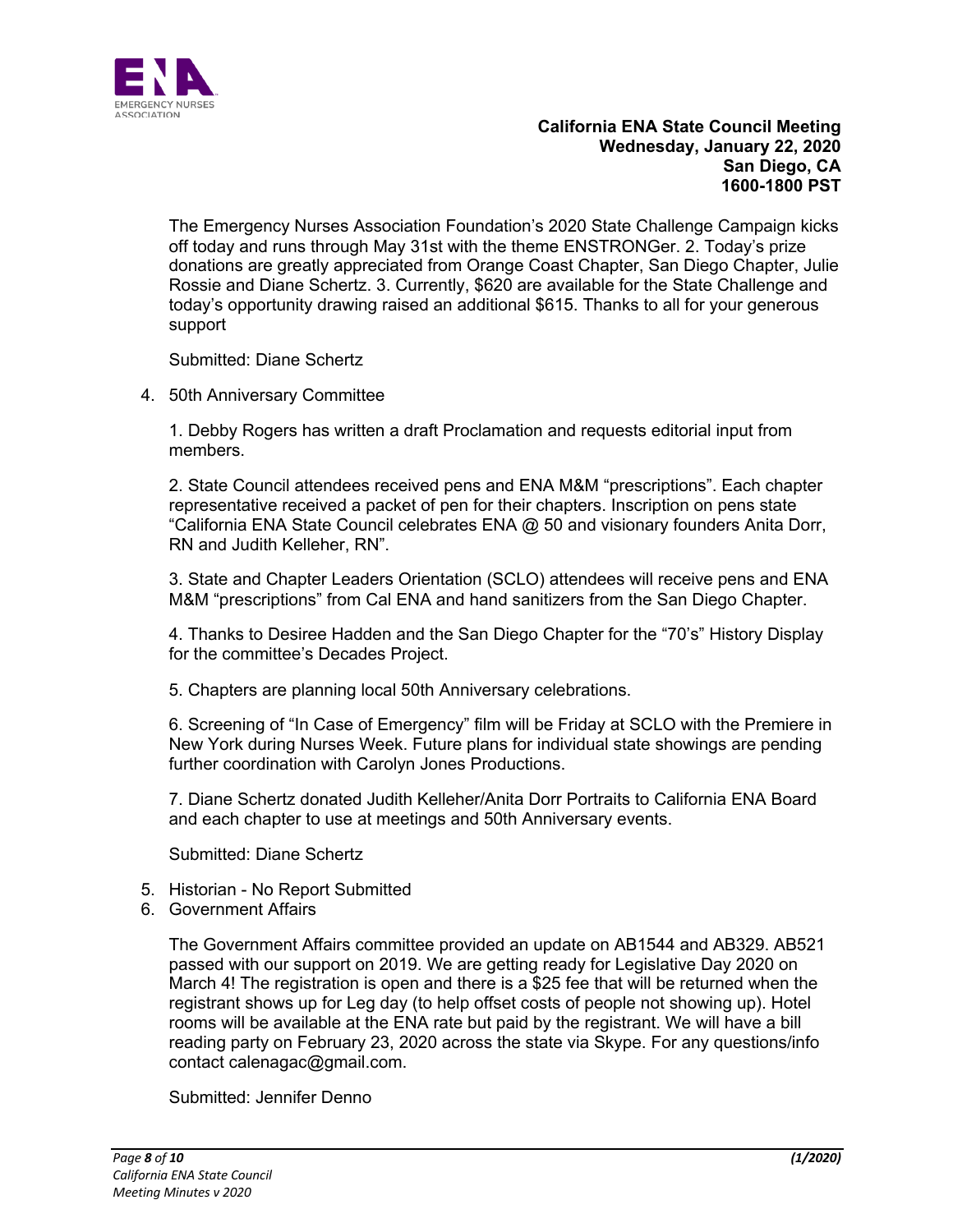

The Emergency Nurses Association Foundation's 2020 State Challenge Campaign kicks off today and runs through May 31st with the theme ENSTRONGer. 2. Today's prize donations are greatly appreciated from Orange Coast Chapter, San Diego Chapter, Julie Rossie and Diane Schertz. 3. Currently, \$620 are available for the State Challenge and today's opportunity drawing raised an additional \$615. Thanks to all for your generous support

Submitted: Diane Schertz

4. 50th Anniversary Committee

1. Debby Rogers has written a draft Proclamation and requests editorial input from members.

2. State Council attendees received pens and ENA M&M "prescriptions". Each chapter representative received a packet of pen for their chapters. Inscription on pens state "California ENA State Council celebrates ENA @ 50 and visionary founders Anita Dorr, RN and Judith Kelleher, RN".

3. State and Chapter Leaders Orientation (SCLO) attendees will receive pens and ENA M&M "prescriptions" from Cal ENA and hand sanitizers from the San Diego Chapter.

4. Thanks to Desiree Hadden and the San Diego Chapter for the "70's" History Display for the committee's Decades Project.

5. Chapters are planning local 50th Anniversary celebrations.

6. Screening of "In Case of Emergency" film will be Friday at SCLO with the Premiere in New York during Nurses Week. Future plans for individual state showings are pending further coordination with Carolyn Jones Productions.

7. Diane Schertz donated Judith Kelleher/Anita Dorr Portraits to California ENA Board and each chapter to use at meetings and 50th Anniversary events.

Submitted: Diane Schertz

- 5. Historian No Report Submitted
- 6. Government Affairs

The Government Affairs committee provided an update on AB1544 and AB329. AB521 passed with our support on 2019. We are getting ready for Legislative Day 2020 on March 4! The registration is open and there is a \$25 fee that will be returned when the registrant shows up for Leg day (to help offset costs of people not showing up). Hotel rooms will be available at the ENA rate but paid by the registrant. We will have a bill reading party on February 23, 2020 across the state via Skype. For any questions/info contact calenagac@gmail.com.

Submitted: Jennifer Denno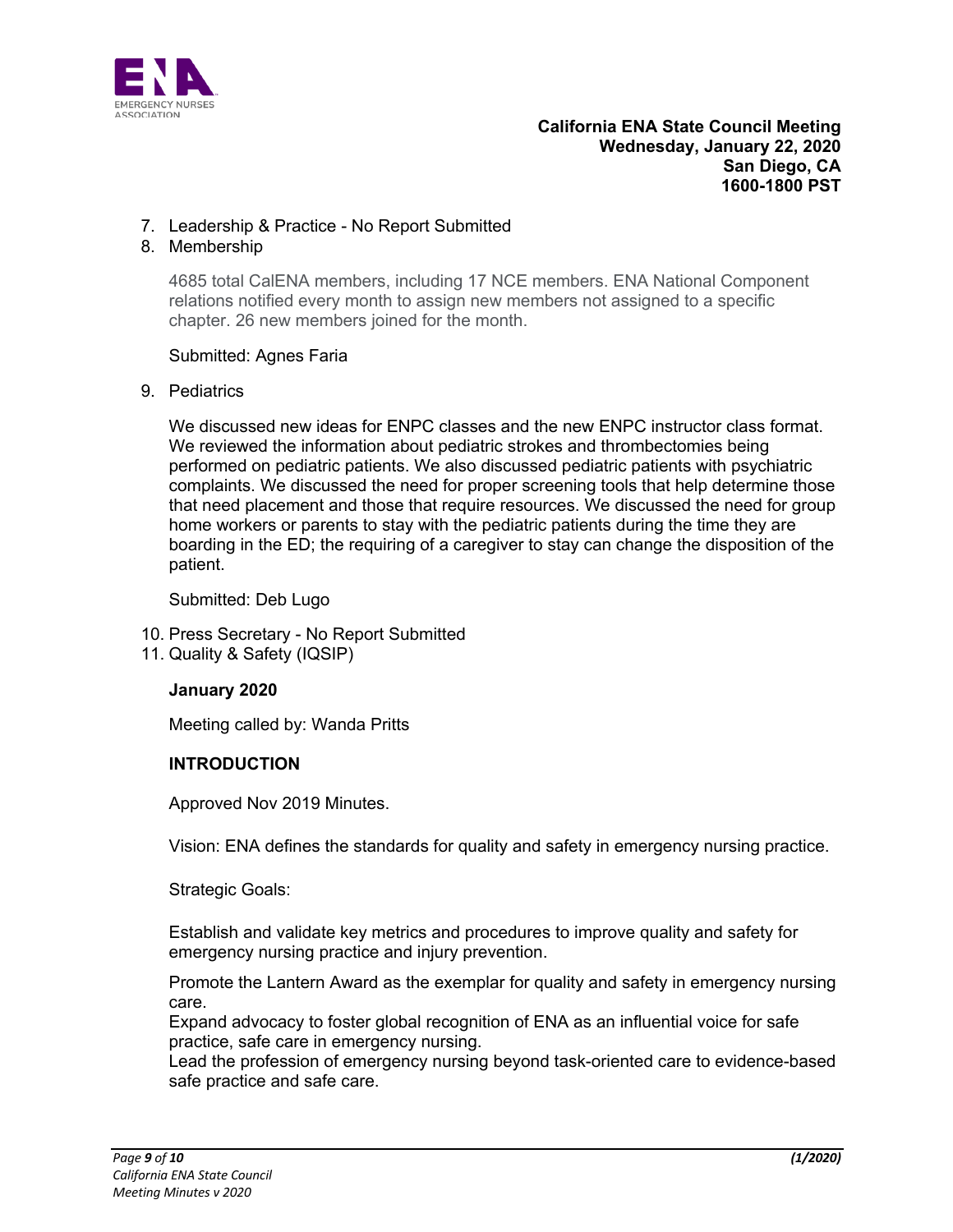

## 7. Leadership & Practice - No Report Submitted

### 8. Membership

4685 total CalENA members, including 17 NCE members. ENA National Component relations notified every month to assign new members not assigned to a specific chapter. 26 new members joined for the month.

### Submitted: Agnes Faria

## 9. Pediatrics

We discussed new ideas for ENPC classes and the new ENPC instructor class format. We reviewed the information about pediatric strokes and thrombectomies being performed on pediatric patients. We also discussed pediatric patients with psychiatric complaints. We discussed the need for proper screening tools that help determine those that need placement and those that require resources. We discussed the need for group home workers or parents to stay with the pediatric patients during the time they are boarding in the ED; the requiring of a caregiver to stay can change the disposition of the patient.

Submitted: Deb Lugo

- 10. Press Secretary No Report Submitted
- 11. Quality & Safety (IQSIP)

### **January 2020**

Meeting called by: Wanda Pritts

### **INTRODUCTION**

Approved Nov 2019 Minutes.

Vision: ENA defines the standards for quality and safety in emergency nursing practice.

Strategic Goals:

Establish and validate key metrics and procedures to improve quality and safety for emergency nursing practice and injury prevention.

Promote the Lantern Award as the exemplar for quality and safety in emergency nursing care.

Expand advocacy to foster global recognition of ENA as an influential voice for safe practice, safe care in emergency nursing.

Lead the profession of emergency nursing beyond task-oriented care to evidence-based safe practice and safe care.